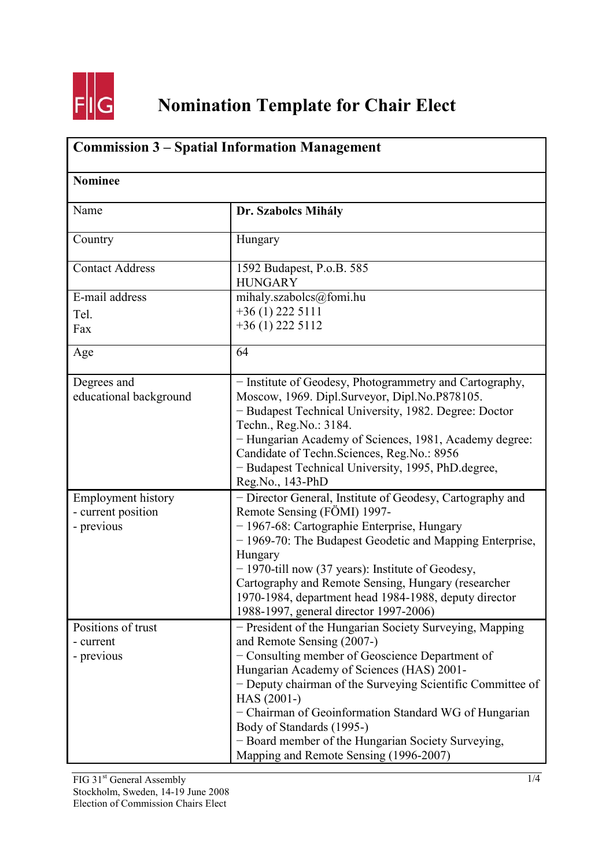

## **Nomination Template for Chair Elect**

| <b>Commission 3 – Spatial Information Management</b><br><b>Nominee</b> |                                                                                                                                                                                                                                                                                                                                                            |  |
|------------------------------------------------------------------------|------------------------------------------------------------------------------------------------------------------------------------------------------------------------------------------------------------------------------------------------------------------------------------------------------------------------------------------------------------|--|
|                                                                        |                                                                                                                                                                                                                                                                                                                                                            |  |
| Country                                                                | Hungary                                                                                                                                                                                                                                                                                                                                                    |  |
| <b>Contact Address</b>                                                 | 1592 Budapest, P.o.B. 585<br><b>HUNGARY</b>                                                                                                                                                                                                                                                                                                                |  |
| E-mail address                                                         | mihaly.szabolcs@fomi.hu                                                                                                                                                                                                                                                                                                                                    |  |
| Tel.                                                                   | $+36(1)$ 222 5111                                                                                                                                                                                                                                                                                                                                          |  |
| Fax                                                                    | $+36(1)$ 222 5112                                                                                                                                                                                                                                                                                                                                          |  |
| Age                                                                    | 64                                                                                                                                                                                                                                                                                                                                                         |  |
| Degrees and<br>educational background                                  | - Institute of Geodesy, Photogrammetry and Cartography,<br>Moscow, 1969. Dipl.Surveyor, Dipl.No.P878105.<br>- Budapest Technical University, 1982. Degree: Doctor<br>Techn., Reg. No.: 3184.<br>- Hungarian Academy of Sciences, 1981, Academy degree:<br>Candidate of Techn Sciences, Reg.No.: 8956<br>- Budapest Technical University, 1995, PhD.degree, |  |
| <b>Employment history</b>                                              | Reg.No., 143-PhD<br>- Director General, Institute of Geodesy, Cartography and                                                                                                                                                                                                                                                                              |  |
| - current position                                                     | Remote Sensing (FÖMI) 1997-                                                                                                                                                                                                                                                                                                                                |  |
| - previous                                                             | - 1967-68: Cartographie Enterprise, Hungary                                                                                                                                                                                                                                                                                                                |  |
|                                                                        | - 1969-70: The Budapest Geodetic and Mapping Enterprise,                                                                                                                                                                                                                                                                                                   |  |
|                                                                        | Hungary                                                                                                                                                                                                                                                                                                                                                    |  |
|                                                                        | - 1970-till now (37 years): Institute of Geodesy,                                                                                                                                                                                                                                                                                                          |  |
|                                                                        | Cartography and Remote Sensing, Hungary (researcher                                                                                                                                                                                                                                                                                                        |  |
|                                                                        | 1970-1984, department head 1984-1988, deputy director<br>1988-1997, general director 1997-2006)                                                                                                                                                                                                                                                            |  |
| Positions of trust                                                     | - President of the Hungarian Society Surveying, Mapping                                                                                                                                                                                                                                                                                                    |  |
| - current                                                              | and Remote Sensing (2007-)                                                                                                                                                                                                                                                                                                                                 |  |
| - previous                                                             | - Consulting member of Geoscience Department of                                                                                                                                                                                                                                                                                                            |  |
|                                                                        | Hungarian Academy of Sciences (HAS) 2001-                                                                                                                                                                                                                                                                                                                  |  |
|                                                                        | - Deputy chairman of the Surveying Scientific Committee of                                                                                                                                                                                                                                                                                                 |  |
|                                                                        | HAS (2001-)                                                                                                                                                                                                                                                                                                                                                |  |
|                                                                        | - Chairman of Geoinformation Standard WG of Hungarian                                                                                                                                                                                                                                                                                                      |  |
|                                                                        | Body of Standards (1995-)                                                                                                                                                                                                                                                                                                                                  |  |
|                                                                        | - Board member of the Hungarian Society Surveying,<br>Mapping and Remote Sensing (1996-2007)                                                                                                                                                                                                                                                               |  |
|                                                                        |                                                                                                                                                                                                                                                                                                                                                            |  |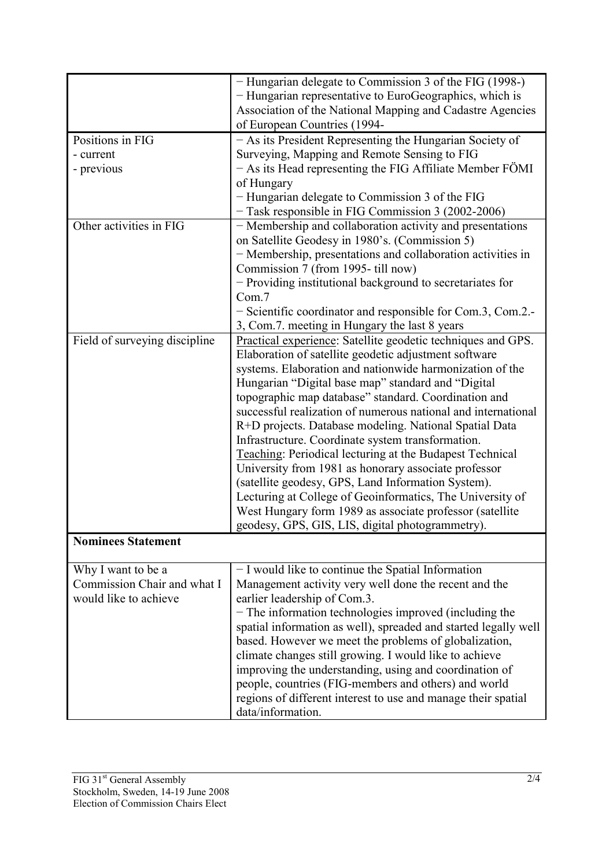|                               | - Hungarian delegate to Commission 3 of the FIG (1998-)         |
|-------------------------------|-----------------------------------------------------------------|
|                               | - Hungarian representative to EuroGeographics, which is         |
|                               | Association of the National Mapping and Cadastre Agencies       |
|                               | of European Countries (1994-                                    |
| Positions in FIG              | - As its President Representing the Hungarian Society of        |
| - current                     | Surveying, Mapping and Remote Sensing to FIG                    |
|                               |                                                                 |
| - previous                    | - As its Head representing the FIG Affiliate Member FÖMI        |
|                               | of Hungary                                                      |
|                               | - Hungarian delegate to Commission 3 of the FIG                 |
|                               | - Task responsible in FIG Commission 3 (2002-2006)              |
| Other activities in FIG       | - Membership and collaboration activity and presentations       |
|                               | on Satellite Geodesy in 1980's. (Commission 5)                  |
|                               | - Membership, presentations and collaboration activities in     |
|                               | Commission 7 (from 1995-till now)                               |
|                               | - Providing institutional background to secretariates for       |
|                               | Com.7                                                           |
|                               | - Scientific coordinator and responsible for Com.3, Com.2.      |
|                               | 3, Com.7. meeting in Hungary the last 8 years                   |
| Field of surveying discipline | Practical experience: Satellite geodetic techniques and GPS.    |
|                               | Elaboration of satellite geodetic adjustment software           |
|                               | systems. Elaboration and nationwide harmonization of the        |
|                               | Hungarian "Digital base map" standard and "Digital              |
|                               | topographic map database" standard. Coordination and            |
|                               | successful realization of numerous national and international   |
|                               | R+D projects. Database modeling. National Spatial Data          |
|                               | Infrastructure. Coordinate system transformation.               |
|                               | <b>Teaching: Periodical lecturing at the Budapest Technical</b> |
|                               | University from 1981 as honorary associate professor            |
|                               | (satellite geodesy, GPS, Land Information System).              |
|                               | Lecturing at College of Geoinformatics, The University of       |
|                               | West Hungary form 1989 as associate professor (satellite        |
|                               | geodesy, GPS, GIS, LIS, digital photogrammetry).                |
| <b>Nominees Statement</b>     |                                                                 |
|                               |                                                                 |
| Why I want to be a            | - I would like to continue the Spatial Information              |
| Commission Chair and what I   | Management activity very well done the recent and the           |
| would like to achieve         | earlier leadership of Com.3.                                    |
|                               | $-$ The information technologies improved (including the        |
|                               | spatial information as well), spreaded and started legally well |
|                               | based. However we meet the problems of globalization,           |
|                               | climate changes still growing. I would like to achieve          |
|                               | improving the understanding, using and coordination of          |
|                               | people, countries (FIG-members and others) and world            |
|                               |                                                                 |
|                               | regions of different interest to use and manage their spatial   |
|                               | data/information.                                               |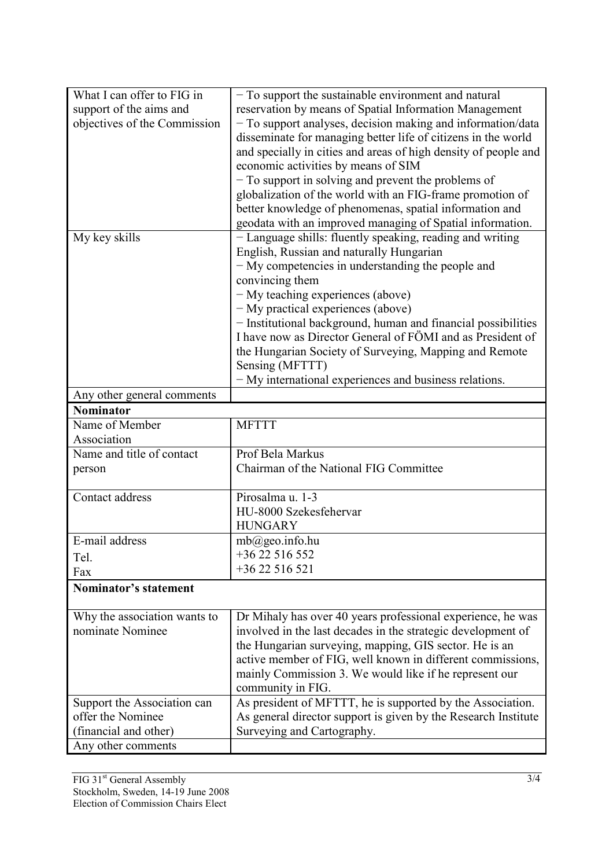| What I can offer to FIG in   | - To support the sustainable environment and natural            |
|------------------------------|-----------------------------------------------------------------|
| support of the aims and      | reservation by means of Spatial Information Management          |
| objectives of the Commission | - To support analyses, decision making and information/data     |
|                              | disseminate for managing better life of citizens in the world   |
|                              | and specially in cities and areas of high density of people and |
|                              | economic activities by means of SIM                             |
|                              | - To support in solving and prevent the problems of             |
|                              | globalization of the world with an FIG-frame promotion of       |
|                              | better knowledge of phenomenas, spatial information and         |
|                              | geodata with an improved managing of Spatial information.       |
| My key skills                | - Language shills: fluently speaking, reading and writing       |
|                              | English, Russian and naturally Hungarian                        |
|                              | - My competencies in understanding the people and               |
|                              | convincing them                                                 |
|                              | - My teaching experiences (above)                               |
|                              | - My practical experiences (above)                              |
|                              | - Institutional background, human and financial possibilities   |
|                              | I have now as Director General of FÖMI and as President of      |
|                              | the Hungarian Society of Surveying, Mapping and Remote          |
|                              | Sensing (MFTTT)                                                 |
|                              | - My international experiences and business relations.          |
| Any other general comments   |                                                                 |
| <b>Nominator</b>             |                                                                 |
| Name of Member               | <b>MFTTT</b>                                                    |
| Association                  |                                                                 |
| Name and title of contact    | Prof Bela Markus                                                |
| person                       | Chairman of the National FIG Committee                          |
|                              |                                                                 |
| Contact address              | Pirosalma u. 1-3                                                |
|                              | HU-8000 Szekesfehervar                                          |
|                              | <b>HUNGARY</b>                                                  |
| E-mail address               | $mb@$ geo.info.hu                                               |
| Tel.                         | $+3622516552$                                                   |
| Fax                          | +36 22 516 521                                                  |
| <b>Nominator's statement</b> |                                                                 |
| Why the association wants to | Dr Mihaly has over 40 years professional experience, he was     |
| nominate Nominee             | involved in the last decades in the strategic development of    |
|                              | the Hungarian surveying, mapping, GIS sector. He is an          |
|                              | active member of FIG, well known in different commissions,      |
|                              | mainly Commission 3. We would like if he represent our          |
|                              | community in FIG.                                               |
| Support the Association can  | As president of MFTTT, he is supported by the Association.      |
| offer the Nominee            | As general director support is given by the Research Institute  |
| (financial and other)        | Surveying and Cartography.                                      |
| Any other comments           |                                                                 |